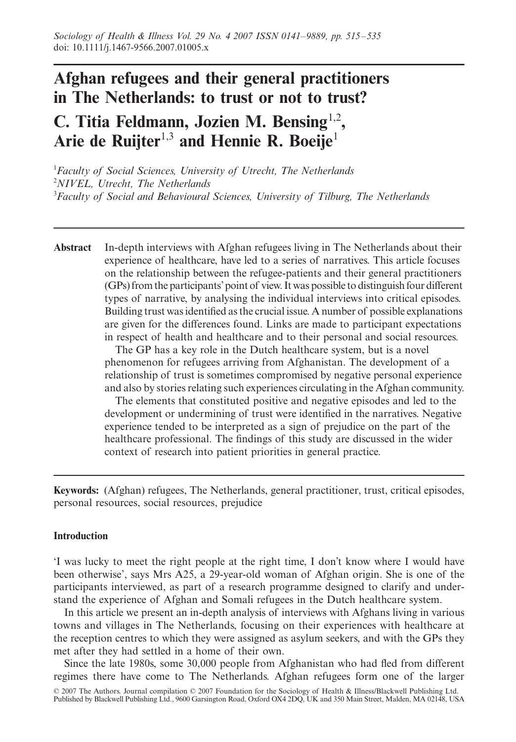# **Afghan refugees and their general practitioners in The Netherlands: to trust or not to trust?**

# **C. Titia Feldmann, Jozien M. Bensing**1,2 **, Arie de Ruijter**1,3 **and Hennie R. Boeije**<sup>1</sup>

1 *Faculty of Social Sciences, University of Utrecht, The Netherlands* 2 *NIVEL, Utrecht, The Netherlands*  3 *Faculty of Social and Behavioural Sciences, University of Tilburg, The Netherlands*

**Abstract** In-depth interviews with Afghan refugees living in The Netherlands about their experience of healthcare, have led to a series of narratives. This article focuses on the relationship between the refugee-patients and their general practitioners (GPs) from the participants' point of view. It was possible to distinguish four different types of narrative, by analysing the individual interviews into critical episodes. Building trust was identified as the crucial issue. A number of possible explanations are given for the differences found. Links are made to participant expectations in respect of health and healthcare and to their personal and social resources.

The GP has a key role in the Dutch healthcare system, but is a novel phenomenon for refugees arriving from Afghanistan. The development of a relationship of trust is sometimes compromised by negative personal experience and also by stories relating such experiences circulating in the Afghan community.

The elements that constituted positive and negative episodes and led to the development or undermining of trust were identified in the narratives. Negative experience tended to be interpreted as a sign of prejudice on the part of the healthcare professional. The findings of this study are discussed in the wider context of research into patient priorities in general practice.

**Keywords:** (Afghan) refugees, The Netherlands, general practitioner, trust, critical episodes, personal resources, social resources, prejudice

# **Introduction**

the contract of the contract of the contract of the contract of

'I was lucky to meet the right people at the right time, I don't know where I would have been otherwise', says Mrs A25, a 29-year-old woman of Afghan origin. She is one of the participants interviewed, as part of a research programme designed to clarify and understand the experience of Afghan and Somali refugees in the Dutch healthcare system.

In this article we present an in-depth analysis of interviews with Afghans living in various towns and villages in The Netherlands, focusing on their experiences with healthcare at the reception centres to which they were assigned as asylum seekers, and with the GPs they met after they had settled in a home of their own.

Since the late 1980s, some 30,000 people from Afghanistan who had fled from different regimes there have come to The Netherlands. Afghan refugees form one of the larger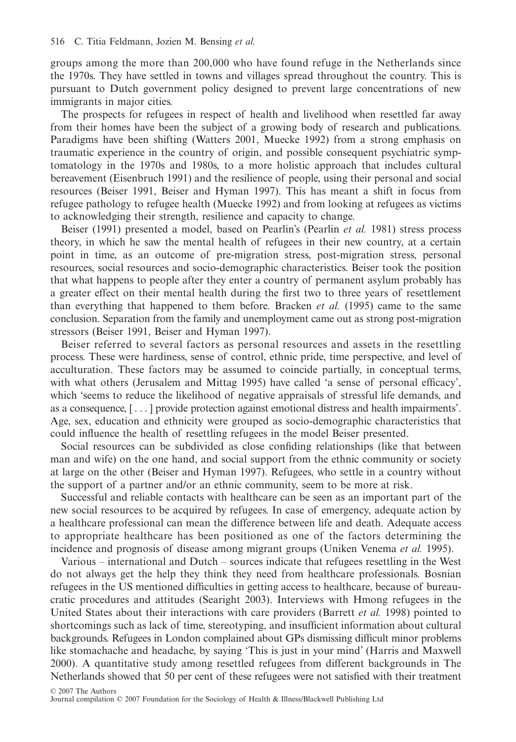groups among the more than 200,000 who have found refuge in the Netherlands since the 1970s. They have settled in towns and villages spread throughout the country. This is pursuant to Dutch government policy designed to prevent large concentrations of new immigrants in major cities.

The prospects for refugees in respect of health and livelihood when resettled far away from their homes have been the subject of a growing body of research and publications. Paradigms have been shifting (Watters 2001, Muecke 1992) from a strong emphasis on traumatic experience in the country of origin, and possible consequent psychiatric symptomatology in the 1970s and 1980s, to a more holistic approach that includes cultural bereavement (Eisenbruch 1991) and the resilience of people, using their personal and social resources (Beiser 1991, Beiser and Hyman 1997). This has meant a shift in focus from refugee pathology to refugee health (Muecke 1992) and from looking at refugees as victims to acknowledging their strength, resilience and capacity to change.

Beiser (1991) presented a model, based on Pearlin's (Pearlin *et al.* 1981) stress process theory, in which he saw the mental health of refugees in their new country, at a certain point in time, as an outcome of pre-migration stress, post-migration stress, personal resources, social resources and socio-demographic characteristics. Beiser took the position that what happens to people after they enter a country of permanent asylum probably has a greater effect on their mental health during the first two to three years of resettlement than everything that happened to them before. Bracken *et al.* (1995) came to the same conclusion. Separation from the family and unemployment came out as strong post-migration stressors (Beiser 1991, Beiser and Hyman 1997).

Beiser referred to several factors as personal resources and assets in the resettling process. These were hardiness, sense of control, ethnic pride, time perspective, and level of acculturation. These factors may be assumed to coincide partially, in conceptual terms, with what others (Jerusalem and Mittag 1995) have called 'a sense of personal efficacy', which 'seems to reduce the likelihood of negative appraisals of stressful life demands, and as a consequence, [ . . . ] provide protection against emotional distress and health impairments'. Age, sex, education and ethnicity were grouped as socio-demographic characteristics that could influence the health of resettling refugees in the model Beiser presented.

Social resources can be subdivided as close confiding relationships (like that between man and wife) on the one hand, and social support from the ethnic community or society at large on the other (Beiser and Hyman 1997). Refugees, who settle in a country without the support of a partner and/or an ethnic community, seem to be more at risk.

Successful and reliable contacts with healthcare can be seen as an important part of the new social resources to be acquired by refugees. In case of emergency, adequate action by a healthcare professional can mean the difference between life and death. Adequate access to appropriate healthcare has been positioned as one of the factors determining the incidence and prognosis of disease among migrant groups (Uniken Venema *et al.* 1995).

Various – international and Dutch – sources indicate that refugees resettling in the West do not always get the help they think they need from healthcare professionals. Bosnian refugees in the US mentioned difficulties in getting access to healthcare, because of bureaucratic procedures and attitudes (Searight 2003). Interviews with Hmong refugees in the United States about their interactions with care providers (Barrett *et al.* 1998) pointed to shortcomings such as lack of time, stereotyping, and insufficient information about cultural backgrounds. Refugees in London complained about GPs dismissing difficult minor problems like stomachache and headache, by saying 'This is just in your mind' (Harris and Maxwell 2000). A quantitative study among resettled refugees from different backgrounds in The Netherlands showed that 50 per cent of these refugees were not satisfied with their treatment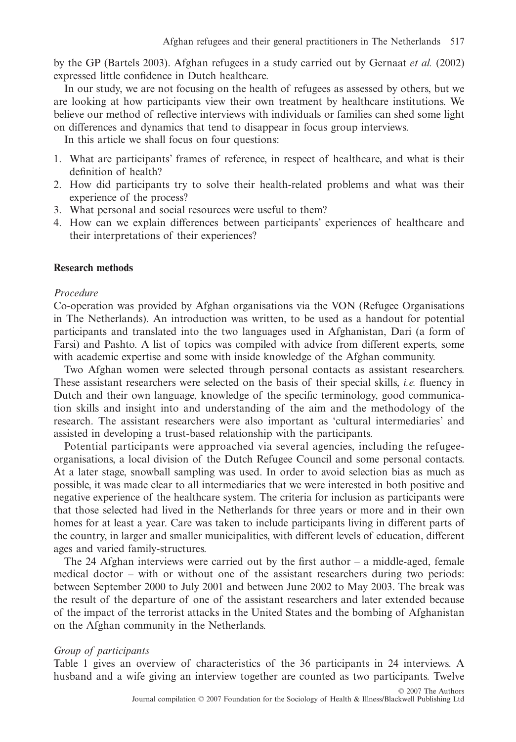by the GP (Bartels 2003). Afghan refugees in a study carried out by Gernaat *et al.* (2002) expressed little confidence in Dutch healthcare.

In our study, we are not focusing on the health of refugees as assessed by others, but we are looking at how participants view their own treatment by healthcare institutions. We believe our method of reflective interviews with individuals or families can shed some light on differences and dynamics that tend to disappear in focus group interviews.

In this article we shall focus on four questions:

- 1. What are participants' frames of reference, in respect of healthcare, and what is their definition of health?
- 2. How did participants try to solve their health-related problems and what was their experience of the process?
- 3. What personal and social resources were useful to them?
- 4. How can we explain differences between participants' experiences of healthcare and their interpretations of their experiences?

# **Research methods**

# *Procedure*

Co-operation was provided by Afghan organisations via the VON (Refugee Organisations in The Netherlands). An introduction was written, to be used as a handout for potential participants and translated into the two languages used in Afghanistan, Dari (a form of Farsi) and Pashto. A list of topics was compiled with advice from different experts, some with academic expertise and some with inside knowledge of the Afghan community.

Two Afghan women were selected through personal contacts as assistant researchers. These assistant researchers were selected on the basis of their special skills, *i.e.* fluency in Dutch and their own language, knowledge of the specific terminology, good communication skills and insight into and understanding of the aim and the methodology of the research. The assistant researchers were also important as 'cultural intermediaries' and assisted in developing a trust-based relationship with the participants.

Potential participants were approached via several agencies, including the refugeeorganisations, a local division of the Dutch Refugee Council and some personal contacts. At a later stage, snowball sampling was used. In order to avoid selection bias as much as possible, it was made clear to all intermediaries that we were interested in both positive and negative experience of the healthcare system. The criteria for inclusion as participants were that those selected had lived in the Netherlands for three years or more and in their own homes for at least a year. Care was taken to include participants living in different parts of the country, in larger and smaller municipalities, with different levels of education, different ages and varied family-structures.

The 24 Afghan interviews were carried out by the first author  $-$  a middle-aged, female medical doctor – with or without one of the assistant researchers during two periods: between September 2000 to July 2001 and between June 2002 to May 2003. The break was the result of the departure of one of the assistant researchers and later extended because of the impact of the terrorist attacks in the United States and the bombing of Afghanistan on the Afghan community in the Netherlands.

# *Group of participants*

Table 1 gives an overview of characteristics of the 36 participants in 24 interviews. A husband and a wife giving an interview together are counted as two participants. Twelve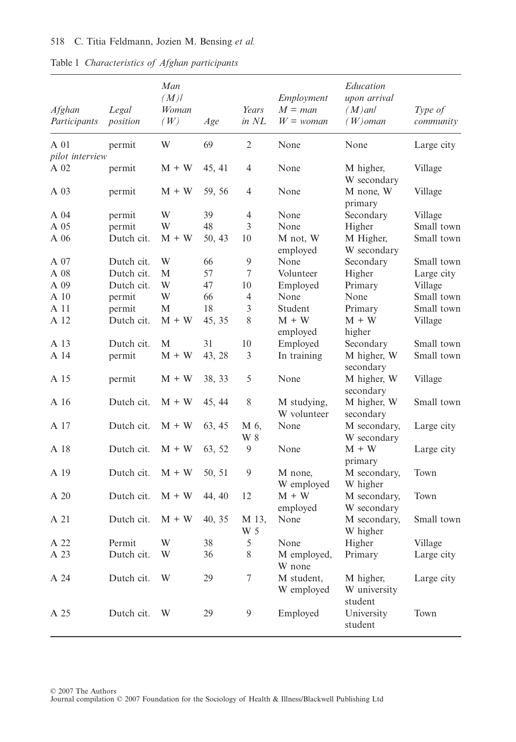# 518 C. Titia Feldmann, Jozien M. Bensing *et al.*

| <b>Afghan</b><br>Participants | Legal<br>position | Man<br>(M)<br>Woman<br>(W) | Age    | Years<br>in NL   | Employment<br>$M \equiv man$<br>$W = woman$ | Education<br>upon arrival<br>$(M)$ anl<br>$(W)$ oman | Type of<br>community |
|-------------------------------|-------------------|----------------------------|--------|------------------|---------------------------------------------|------------------------------------------------------|----------------------|
| A 01                          | permit            | W                          | 69     | $\overline{2}$   | None                                        | None                                                 | Large city           |
| pilot interview<br>A 02       | permit            | $M + W$                    | 45, 41 | 4                | None                                        | M higher,<br>W secondary                             | Village              |
| A 03                          | permit            | $M + W$                    | 59, 56 | $\overline{4}$   | None                                        | M none, W<br>primary                                 | Village              |
| A 04                          | permit            | W                          | 39     | $\overline{4}$   | None                                        | Secondary                                            | Village              |
| A 05                          | permit            | W                          | 48     | 3                | None                                        | Higher                                               | Small town           |
| A 06                          | Dutch cit.        | $M + W$                    | 50, 43 | 10               | M not, W<br>employed                        | M Higher,<br>W secondary                             | Small town           |
| A 07                          | Dutch cit.        | W                          | 66     | 9                | None                                        | Secondary                                            | Small town           |
| A 08                          | Dutch cit.        | М                          | 57     | 7                | Volunteer                                   | Higher                                               | Large city           |
| A 09                          | Dutch cit.        | W                          | 47     | 10               | Employed                                    | Primary                                              | Village              |
| A 10                          | permit            | W                          | 66     | 4                | None                                        | None                                                 | Small town           |
| A 11                          | permit            | М                          | 18     | 3                | Student                                     | Primary                                              | Small town           |
| A 12                          | Dutch cit.        | $M + W$                    | 45, 35 | 8                | $M + W$<br>employed                         | $M + W$<br>higher                                    | Village              |
| A 13                          | Dutch cit.        | М                          | 31     | 10               | Employed                                    | Secondary                                            | Small town           |
| A 14                          | permit            | $M + W$                    | 43, 28 | 3                | In training                                 | M higher, W<br>secondary                             | Small town           |
| A 15                          | permit            | $M + W$                    | 38, 33 | 5                | None                                        | M higher, W<br>secondary                             | Village              |
| A 16                          | Dutch cit.        | $M + W$                    | 45, 44 | 8                | M studying,<br>W volunteer                  | M higher, W<br>secondary                             | Small town           |
| A 17                          | Dutch cit.        | $M + W$                    | 63, 45 | M 6,<br>W 8      | None                                        | M secondary,<br>W secondary                          | Large city           |
| A 18                          | Dutch cit.        | $M + W$                    | 63, 52 | 9                | None                                        | $M + W$<br>primary                                   | Large city           |
| A 19                          | Dutch cit.        | $M + W$                    | 50, 51 | 9                | M none,<br>W employed                       | M secondary,<br>W higher                             | Town                 |
| A 20                          | Dutch cit.        | $M + W$                    | 44, 40 | 12               | $M + W$<br>employed                         | M secondary,<br>W secondary                          | Town                 |
| A 21                          | Dutch cit.        | $M + W$                    | 40, 35 | M 13,<br>W 5     | None                                        | M secondary,<br>W higher                             | Small town           |
| A 22                          | Permit            | W                          | 38     | 5                | None                                        | Higher                                               | Village              |
| A 23                          | Dutch cit.        | W                          | 36     | 8                | M employed,<br>W none                       | Primary                                              | Large city           |
| A 24                          | Dutch cit.        | W                          | 29     | $\boldsymbol{7}$ | M student,<br>W employed                    | M higher,<br>W university<br>student                 | Large city           |
| A 25                          | Dutch cit.        | W                          | 29     | $\overline{9}$   | Employed                                    | University<br>student                                | Town                 |

Table 1 *Characteristics of Afghan participants*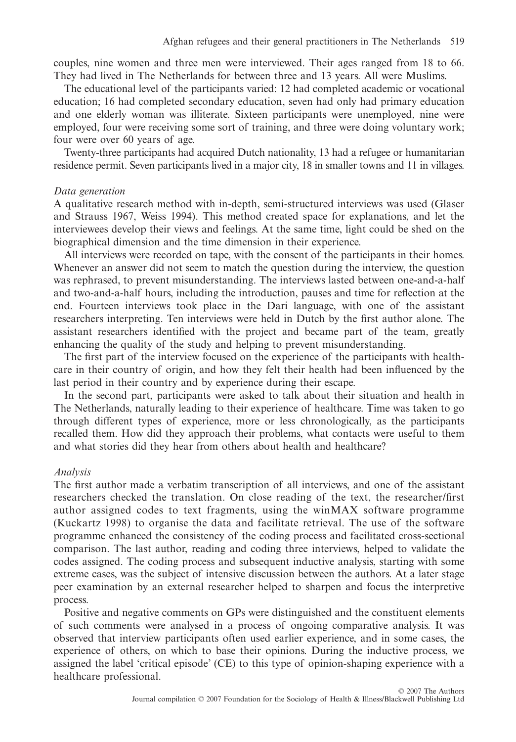couples, nine women and three men were interviewed. Their ages ranged from 18 to 66. They had lived in The Netherlands for between three and 13 years. All were Muslims.

The educational level of the participants varied: 12 had completed academic or vocational education; 16 had completed secondary education, seven had only had primary education and one elderly woman was illiterate. Sixteen participants were unemployed, nine were employed, four were receiving some sort of training, and three were doing voluntary work; four were over 60 years of age.

Twenty-three participants had acquired Dutch nationality, 13 had a refugee or humanitarian residence permit. Seven participants lived in a major city, 18 in smaller towns and 11 in villages.

# *Data generation*

A qualitative research method with in-depth, semi-structured interviews was used (Glaser and Strauss 1967, Weiss 1994). This method created space for explanations, and let the interviewees develop their views and feelings. At the same time, light could be shed on the biographical dimension and the time dimension in their experience.

All interviews were recorded on tape, with the consent of the participants in their homes. Whenever an answer did not seem to match the question during the interview, the question was rephrased, to prevent misunderstanding. The interviews lasted between one-and-a-half and two-and-a-half hours, including the introduction, pauses and time for reflection at the end. Fourteen interviews took place in the Dari language, with one of the assistant researchers interpreting. Ten interviews were held in Dutch by the first author alone. The assistant researchers identified with the project and became part of the team, greatly enhancing the quality of the study and helping to prevent misunderstanding.

The first part of the interview focused on the experience of the participants with healthcare in their country of origin, and how they felt their health had been influenced by the last period in their country and by experience during their escape.

In the second part, participants were asked to talk about their situation and health in The Netherlands, naturally leading to their experience of healthcare. Time was taken to go through different types of experience, more or less chronologically, as the participants recalled them. How did they approach their problems, what contacts were useful to them and what stories did they hear from others about health and healthcare?

#### *Analysis*

The first author made a verbatim transcription of all interviews, and one of the assistant researchers checked the translation. On close reading of the text, the researcher/first author assigned codes to text fragments, using the winMAX software programme (Kuckartz 1998) to organise the data and facilitate retrieval. The use of the software programme enhanced the consistency of the coding process and facilitated cross-sectional comparison. The last author, reading and coding three interviews, helped to validate the codes assigned. The coding process and subsequent inductive analysis, starting with some extreme cases, was the subject of intensive discussion between the authors. At a later stage peer examination by an external researcher helped to sharpen and focus the interpretive process.

Positive and negative comments on GPs were distinguished and the constituent elements of such comments were analysed in a process of ongoing comparative analysis. It was observed that interview participants often used earlier experience, and in some cases, the experience of others, on which to base their opinions. During the inductive process, we assigned the label 'critical episode' (CE) to this type of opinion-shaping experience with a healthcare professional.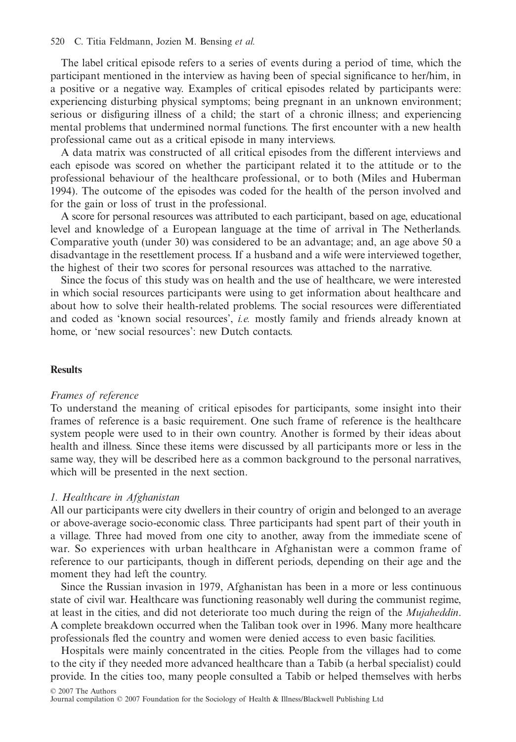#### 520 C. Titia Feldmann, Jozien M. Bensing *et al.*

The label critical episode refers to a series of events during a period of time, which the participant mentioned in the interview as having been of special significance to her/him, in a positive or a negative way. Examples of critical episodes related by participants were: experiencing disturbing physical symptoms; being pregnant in an unknown environment; serious or disfiguring illness of a child; the start of a chronic illness; and experiencing mental problems that undermined normal functions. The first encounter with a new health professional came out as a critical episode in many interviews.

A data matrix was constructed of all critical episodes from the different interviews and each episode was scored on whether the participant related it to the attitude or to the professional behaviour of the healthcare professional, or to both (Miles and Huberman 1994). The outcome of the episodes was coded for the health of the person involved and for the gain or loss of trust in the professional.

A score for personal resources was attributed to each participant, based on age, educational level and knowledge of a European language at the time of arrival in The Netherlands. Comparative youth (under 30) was considered to be an advantage; and, an age above 50 a disadvantage in the resettlement process. If a husband and a wife were interviewed together, the highest of their two scores for personal resources was attached to the narrative.

Since the focus of this study was on health and the use of healthcare, we were interested in which social resources participants were using to get information about healthcare and about how to solve their health-related problems. The social resources were differentiated and coded as 'known social resources', *i.e.* mostly family and friends already known at home, or 'new social resources': new Dutch contacts.

# **Results**

# *Frames of reference*

To understand the meaning of critical episodes for participants, some insight into their frames of reference is a basic requirement. One such frame of reference is the healthcare system people were used to in their own country. Another is formed by their ideas about health and illness. Since these items were discussed by all participants more or less in the same way, they will be described here as a common background to the personal narratives, which will be presented in the next section.

## *1. Healthcare in Afghanistan*

All our participants were city dwellers in their country of origin and belonged to an average or above-average socio-economic class. Three participants had spent part of their youth in a village. Three had moved from one city to another, away from the immediate scene of war. So experiences with urban healthcare in Afghanistan were a common frame of reference to our participants, though in different periods, depending on their age and the moment they had left the country.

Since the Russian invasion in 1979, Afghanistan has been in a more or less continuous state of civil war. Healthcare was functioning reasonably well during the communist regime, at least in the cities, and did not deteriorate too much during the reign of the *Mujaheddin*. A complete breakdown occurred when the Taliban took over in 1996. Many more healthcare professionals fled the country and women were denied access to even basic facilities.

Hospitals were mainly concentrated in the cities. People from the villages had to come to the city if they needed more advanced healthcare than a Tabib (a herbal specialist) could provide. In the cities too, many people consulted a Tabib or helped themselves with herbs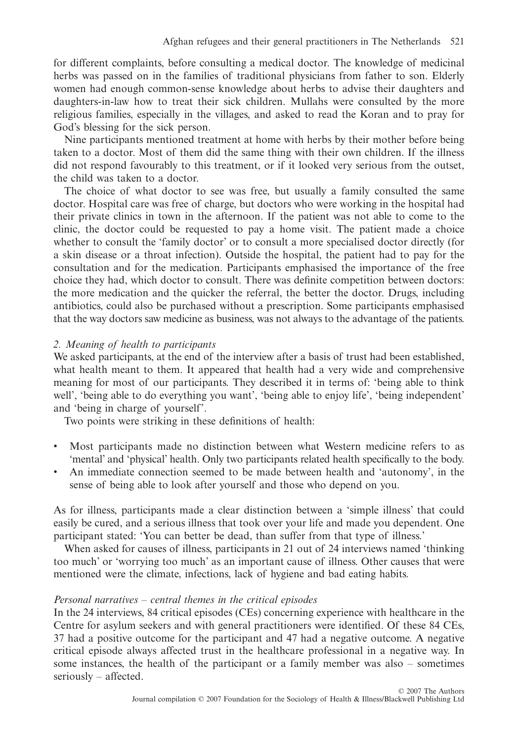for different complaints, before consulting a medical doctor. The knowledge of medicinal herbs was passed on in the families of traditional physicians from father to son. Elderly women had enough common-sense knowledge about herbs to advise their daughters and daughters-in-law how to treat their sick children. Mullahs were consulted by the more religious families, especially in the villages, and asked to read the Koran and to pray for God's blessing for the sick person.

Nine participants mentioned treatment at home with herbs by their mother before being taken to a doctor. Most of them did the same thing with their own children. If the illness did not respond favourably to this treatment, or if it looked very serious from the outset, the child was taken to a doctor.

The choice of what doctor to see was free, but usually a family consulted the same doctor. Hospital care was free of charge, but doctors who were working in the hospital had their private clinics in town in the afternoon. If the patient was not able to come to the clinic, the doctor could be requested to pay a home visit. The patient made a choice whether to consult the 'family doctor' or to consult a more specialised doctor directly (for a skin disease or a throat infection). Outside the hospital, the patient had to pay for the consultation and for the medication. Participants emphasised the importance of the free choice they had, which doctor to consult. There was definite competition between doctors: the more medication and the quicker the referral, the better the doctor. Drugs, including antibiotics, could also be purchased without a prescription. Some participants emphasised that the way doctors saw medicine as business, was not always to the advantage of the patients.

# *2. Meaning of health to participants*

We asked participants, at the end of the interview after a basis of trust had been established, what health meant to them. It appeared that health had a very wide and comprehensive meaning for most of our participants. They described it in terms of: 'being able to think well', 'being able to do everything you want', 'being able to enjoy life', 'being independent' and 'being in charge of yourself'.

Two points were striking in these definitions of health:

- Most participants made no distinction between what Western medicine refers to as 'mental' and 'physical' health. Only two participants related health specifically to the body.
- An immediate connection seemed to be made between health and 'autonomy', in the sense of being able to look after yourself and those who depend on you.

As for illness, participants made a clear distinction between a 'simple illness' that could easily be cured, and a serious illness that took over your life and made you dependent. One participant stated: 'You can better be dead, than suffer from that type of illness.'

When asked for causes of illness, participants in 21 out of 24 interviews named 'thinking too much' or 'worrying too much' as an important cause of illness. Other causes that were mentioned were the climate, infections, lack of hygiene and bad eating habits.

# *Personal narratives – central themes in the critical episodes*

In the 24 interviews, 84 critical episodes (CEs) concerning experience with healthcare in the Centre for asylum seekers and with general practitioners were identified. Of these 84 CEs, 37 had a positive outcome for the participant and 47 had a negative outcome. A negative critical episode always affected trust in the healthcare professional in a negative way. In some instances, the health of the participant or a family member was also – sometimes seriously – affected.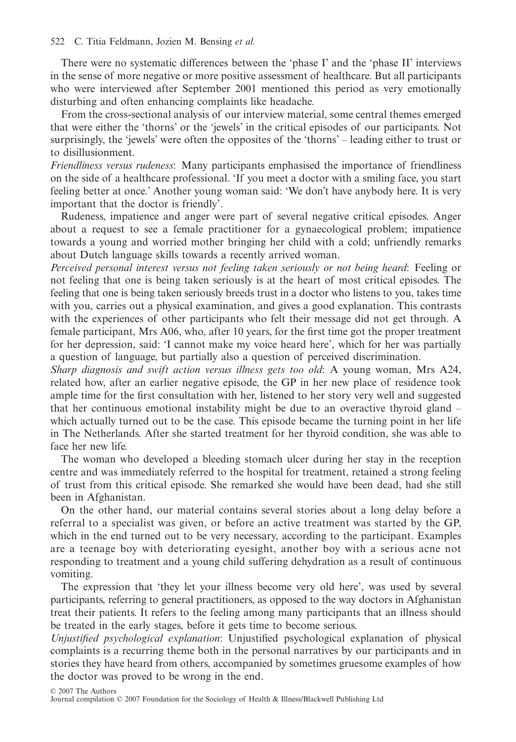There were no systematic differences between the 'phase I' and the 'phase II' interviews in the sense of more negative or more positive assessment of healthcare. But all participants who were interviewed after September 2001 mentioned this period as very emotionally disturbing and often enhancing complaints like headache.

From the cross-sectional analysis of our interview material, some central themes emerged that were either the 'thorns' or the 'jewels' in the critical episodes of our participants. Not surprisingly, the 'jewels' were often the opposites of the 'thorns' – leading either to trust or to disillusionment.

*Friendliness versus rudeness*: Many participants emphasised the importance of friendliness on the side of a healthcare professional. 'If you meet a doctor with a smiling face, you start feeling better at once.' Another young woman said: 'We don't have anybody here. It is very important that the doctor is friendly'.

Rudeness, impatience and anger were part of several negative critical episodes. Anger about a request to see a female practitioner for a gynaecological problem; impatience towards a young and worried mother bringing her child with a cold; unfriendly remarks about Dutch language skills towards a recently arrived woman.

*Perceived personal interest versus not feeling taken seriously or not being heard*: Feeling or not feeling that one is being taken seriously is at the heart of most critical episodes. The feeling that one is being taken seriously breeds trust in a doctor who listens to you, takes time with you, carries out a physical examination, and gives a good explanation. This contrasts with the experiences of other participants who felt their message did not get through. A female participant, Mrs A06, who, after 10 years, for the first time got the proper treatment for her depression, said: 'I cannot make my voice heard here', which for her was partially a question of language, but partially also a question of perceived discrimination.

*Sharp diagnosis and swift action versus illness gets too old*: A young woman, Mrs A24, related how, after an earlier negative episode, the GP in her new place of residence took ample time for the first consultation with her, listened to her story very well and suggested that her continuous emotional instability might be due to an overactive thyroid gland – which actually turned out to be the case. This episode became the turning point in her life in The Netherlands. After she started treatment for her thyroid condition, she was able to face her new life.

The woman who developed a bleeding stomach ulcer during her stay in the reception centre and was immediately referred to the hospital for treatment, retained a strong feeling of trust from this critical episode. She remarked she would have been dead, had she still been in Afghanistan.

On the other hand, our material contains several stories about a long delay before a referral to a specialist was given, or before an active treatment was started by the GP, which in the end turned out to be very necessary, according to the participant. Examples are a teenage boy with deteriorating eyesight, another boy with a serious acne not responding to treatment and a young child suffering dehydration as a result of continuous vomiting.

The expression that 'they let your illness become very old here', was used by several participants, referring to general practitioners, as opposed to the way doctors in Afghanistan treat their patients. It refers to the feeling among many participants that an illness should be treated in the early stages, before it gets time to become serious.

*Unjustified psychological explanation*: Unjustified psychological explanation of physical complaints is a recurring theme both in the personal narratives by our participants and in stories they have heard from others, accompanied by sometimes gruesome examples of how the doctor was proved to be wrong in the end.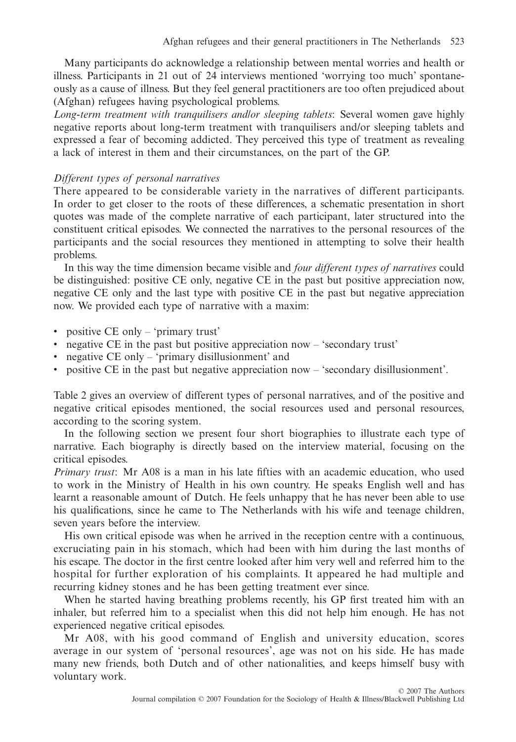Many participants do acknowledge a relationship between mental worries and health or illness. Participants in 21 out of 24 interviews mentioned 'worrying too much' spontaneously as a cause of illness. But they feel general practitioners are too often prejudiced about (Afghan) refugees having psychological problems.

*Long-term treatment with tranquilisers and/or sleeping tablets*: Several women gave highly negative reports about long-term treatment with tranquilisers and/or sleeping tablets and expressed a fear of becoming addicted. They perceived this type of treatment as revealing a lack of interest in them and their circumstances, on the part of the GP.

# *Different types of personal narratives*

There appeared to be considerable variety in the narratives of different participants. In order to get closer to the roots of these differences, a schematic presentation in short quotes was made of the complete narrative of each participant, later structured into the constituent critical episodes. We connected the narratives to the personal resources of the participants and the social resources they mentioned in attempting to solve their health problems.

In this way the time dimension became visible and *four different types of narratives* could be distinguished: positive CE only, negative CE in the past but positive appreciation now, negative CE only and the last type with positive CE in the past but negative appreciation now. We provided each type of narrative with a maxim:

- positive CE only 'primary trust'
- negative CE in the past but positive appreciation now 'secondary trust'
- negative CE only 'primary disillusionment' and
- positive CE in the past but negative appreciation now 'secondary disillusionment'.

Table 2 gives an overview of different types of personal narratives, and of the positive and negative critical episodes mentioned, the social resources used and personal resources, according to the scoring system.

In the following section we present four short biographies to illustrate each type of narrative. Each biography is directly based on the interview material, focusing on the critical episodes.

*Primary trust*: Mr A08 is a man in his late fifties with an academic education, who used to work in the Ministry of Health in his own country. He speaks English well and has learnt a reasonable amount of Dutch. He feels unhappy that he has never been able to use his qualifications, since he came to The Netherlands with his wife and teenage children, seven years before the interview.

His own critical episode was when he arrived in the reception centre with a continuous, excruciating pain in his stomach, which had been with him during the last months of his escape. The doctor in the first centre looked after him very well and referred him to the hospital for further exploration of his complaints. It appeared he had multiple and recurring kidney stones and he has been getting treatment ever since.

When he started having breathing problems recently, his GP first treated him with an inhaler, but referred him to a specialist when this did not help him enough. He has not experienced negative critical episodes.

Mr A08, with his good command of English and university education, scores average in our system of 'personal resources', age was not on his side. He has made many new friends, both Dutch and of other nationalities, and keeps himself busy with voluntary work.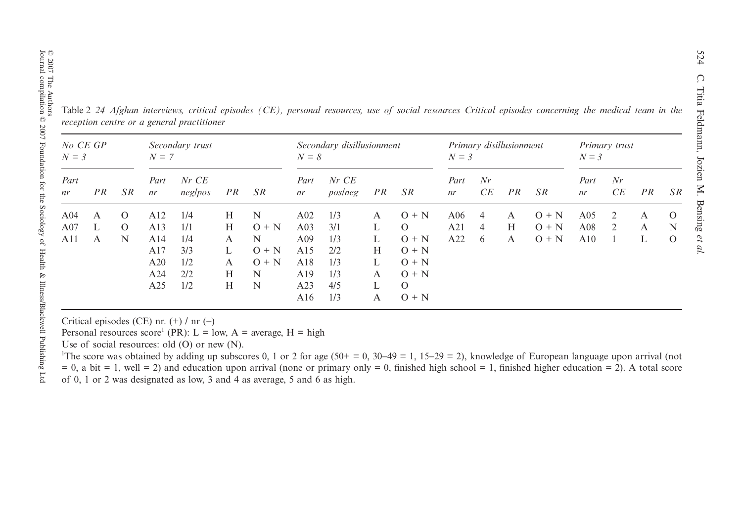| No CE GP<br>$N = 3$ |              |          | Secondary trust<br>$N = 7$ |                      |    | Secondary disillusionment<br>$N = 8$ |                 |                      |    | Primary disillusionment<br>$N = 3$ |            |          |              | Primary trust<br>$N=3$ |                 |                |              |                |
|---------------------|--------------|----------|----------------------------|----------------------|----|--------------------------------------|-----------------|----------------------|----|------------------------------------|------------|----------|--------------|------------------------|-----------------|----------------|--------------|----------------|
| Part<br>nr          | PR           | SR       | Part<br>nr                 | $Nr$ $CE$<br>neg/pos | PR | <b>SR</b>                            | Part<br>nr      | $Nr$ $CE$<br>posineg | PR | SR                                 | Part<br>nr | Nr<br>CE | PR           | SR                     | Part<br>nr      | Nr<br>CE       | PR           | SR             |
| A <sub>04</sub>     | A            | $\Omega$ | A12                        | 1/4                  | H  | N                                    | A02             | 1/3                  | A  | $O + N$                            | A06        | 4        | $\mathbf{A}$ | $O + N$                | A05             |                | $\mathbf{A}$ | $\Omega$       |
| A07                 | L            | $\Omega$ | A13                        | 1/1                  | H  | $O + N$                              | A <sub>03</sub> | 3/1                  | L  | $\Omega$                           | A21        | 4        | H            | $O + N$                | A <sub>08</sub> | $\mathfrak{D}$ | A            | $\mathbf N$    |
| A11                 | $\mathbf{A}$ | N        | A14                        | 1/4                  | A  | N                                    | A09             | 1/3                  | L  | $O + N$                            | A22        | 6        | A            | $O + N$                | A10             |                | L            | $\overline{O}$ |
|                     |              |          | A17                        | 3/3                  | L  | $O + N$                              | A15             | 2/2                  | H  | $0 + N$                            |            |          |              |                        |                 |                |              |                |
|                     |              |          | A20                        | 1/2                  | A  | $O + N$                              | A18             | 1/3                  | L  | $O + N$                            |            |          |              |                        |                 |                |              |                |
|                     |              |          | A24                        | 2/2                  | H  | N                                    | A19             | 1/3                  | A  | $O + N$                            |            |          |              |                        |                 |                |              |                |
|                     |              |          | A25                        | 1/2                  | H  | N                                    | A23             | 4/5                  | L  | $\Omega$                           |            |          |              |                        |                 |                |              |                |
|                     |              |          |                            |                      |    |                                      | A16             | 1/3                  | A  | $O + N$                            |            |          |              |                        |                 |                |              |                |

*reception centre or a general practitioner*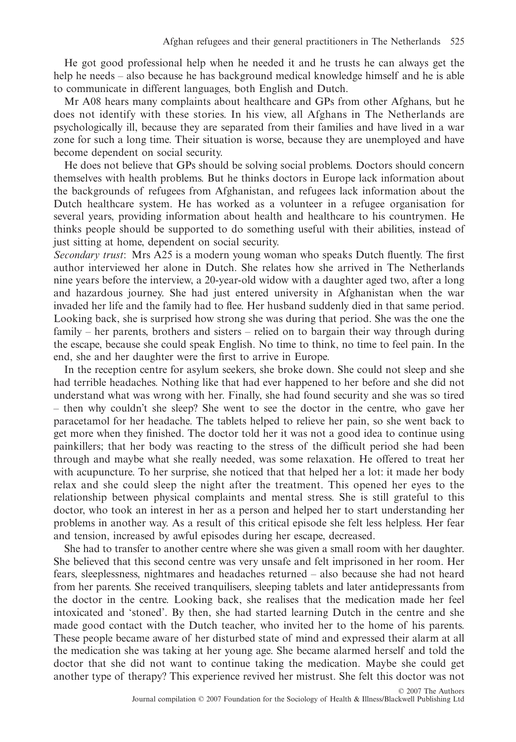He got good professional help when he needed it and he trusts he can always get the help he needs – also because he has background medical knowledge himself and he is able to communicate in different languages, both English and Dutch.

Mr A08 hears many complaints about healthcare and GPs from other Afghans, but he does not identify with these stories. In his view, all Afghans in The Netherlands are psychologically ill, because they are separated from their families and have lived in a war zone for such a long time. Their situation is worse, because they are unemployed and have become dependent on social security.

He does not believe that GPs should be solving social problems. Doctors should concern themselves with health problems. But he thinks doctors in Europe lack information about the backgrounds of refugees from Afghanistan, and refugees lack information about the Dutch healthcare system. He has worked as a volunteer in a refugee organisation for several years, providing information about health and healthcare to his countrymen. He thinks people should be supported to do something useful with their abilities, instead of just sitting at home, dependent on social security.

*Secondary trust*: Mrs A25 is a modern young woman who speaks Dutch fluently. The first author interviewed her alone in Dutch. She relates how she arrived in The Netherlands nine years before the interview, a 20-year-old widow with a daughter aged two, after a long and hazardous journey. She had just entered university in Afghanistan when the war invaded her life and the family had to flee. Her husband suddenly died in that same period. Looking back, she is surprised how strong she was during that period. She was the one the family – her parents, brothers and sisters – relied on to bargain their way through during the escape, because she could speak English. No time to think, no time to feel pain. In the end, she and her daughter were the first to arrive in Europe.

In the reception centre for asylum seekers, she broke down. She could not sleep and she had terrible headaches. Nothing like that had ever happened to her before and she did not understand what was wrong with her. Finally, she had found security and she was so tired – then why couldn't she sleep? She went to see the doctor in the centre, who gave her paracetamol for her headache. The tablets helped to relieve her pain, so she went back to get more when they finished. The doctor told her it was not a good idea to continue using painkillers; that her body was reacting to the stress of the difficult period she had been through and maybe what she really needed, was some relaxation. He offered to treat her with acupuncture. To her surprise, she noticed that that helped her a lot: it made her body relax and she could sleep the night after the treatment. This opened her eyes to the relationship between physical complaints and mental stress. She is still grateful to this doctor, who took an interest in her as a person and helped her to start understanding her problems in another way. As a result of this critical episode she felt less helpless. Her fear and tension, increased by awful episodes during her escape, decreased.

She had to transfer to another centre where she was given a small room with her daughter. She believed that this second centre was very unsafe and felt imprisoned in her room. Her fears, sleeplessness, nightmares and headaches returned – also because she had not heard from her parents. She received tranquilisers, sleeping tablets and later antidepressants from the doctor in the centre. Looking back, she realises that the medication made her feel intoxicated and 'stoned'. By then, she had started learning Dutch in the centre and she made good contact with the Dutch teacher, who invited her to the home of his parents. These people became aware of her disturbed state of mind and expressed their alarm at all the medication she was taking at her young age. She became alarmed herself and told the doctor that she did not want to continue taking the medication. Maybe she could get another type of therapy? This experience revived her mistrust. She felt this doctor was not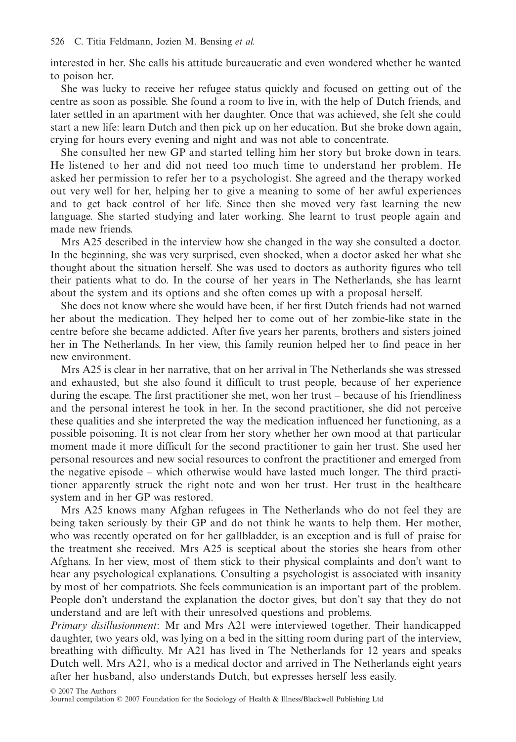interested in her. She calls his attitude bureaucratic and even wondered whether he wanted to poison her.

She was lucky to receive her refugee status quickly and focused on getting out of the centre as soon as possible. She found a room to live in, with the help of Dutch friends, and later settled in an apartment with her daughter. Once that was achieved, she felt she could start a new life: learn Dutch and then pick up on her education. But she broke down again, crying for hours every evening and night and was not able to concentrate.

She consulted her new GP and started telling him her story but broke down in tears. He listened to her and did not need too much time to understand her problem. He asked her permission to refer her to a psychologist. She agreed and the therapy worked out very well for her, helping her to give a meaning to some of her awful experiences and to get back control of her life. Since then she moved very fast learning the new language. She started studying and later working. She learnt to trust people again and made new friends.

Mrs A25 described in the interview how she changed in the way she consulted a doctor. In the beginning, she was very surprised, even shocked, when a doctor asked her what she thought about the situation herself. She was used to doctors as authority figures who tell their patients what to do. In the course of her years in The Netherlands, she has learnt about the system and its options and she often comes up with a proposal herself.

She does not know where she would have been, if her first Dutch friends had not warned her about the medication. They helped her to come out of her zombie-like state in the centre before she became addicted. After five years her parents, brothers and sisters joined her in The Netherlands. In her view, this family reunion helped her to find peace in her new environment.

Mrs A25 is clear in her narrative, that on her arrival in The Netherlands she was stressed and exhausted, but she also found it difficult to trust people, because of her experience during the escape. The first practitioner she met, won her trust – because of his friendliness and the personal interest he took in her. In the second practitioner, she did not perceive these qualities and she interpreted the way the medication influenced her functioning, as a possible poisoning. It is not clear from her story whether her own mood at that particular moment made it more difficult for the second practitioner to gain her trust. She used her personal resources and new social resources to confront the practitioner and emerged from the negative episode – which otherwise would have lasted much longer. The third practitioner apparently struck the right note and won her trust. Her trust in the healthcare system and in her GP was restored.

Mrs A25 knows many Afghan refugees in The Netherlands who do not feel they are being taken seriously by their GP and do not think he wants to help them. Her mother, who was recently operated on for her gallbladder, is an exception and is full of praise for the treatment she received. Mrs A25 is sceptical about the stories she hears from other Afghans. In her view, most of them stick to their physical complaints and don't want to hear any psychological explanations. Consulting a psychologist is associated with insanity by most of her compatriots. She feels communication is an important part of the problem. People don't understand the explanation the doctor gives, but don't say that they do not understand and are left with their unresolved questions and problems.

*Primary disillusionment*: Mr and Mrs A21 were interviewed together. Their handicapped daughter, two years old, was lying on a bed in the sitting room during part of the interview, breathing with difficulty. Mr A21 has lived in The Netherlands for 12 years and speaks Dutch well. Mrs A21, who is a medical doctor and arrived in The Netherlands eight years after her husband, also understands Dutch, but expresses herself less easily.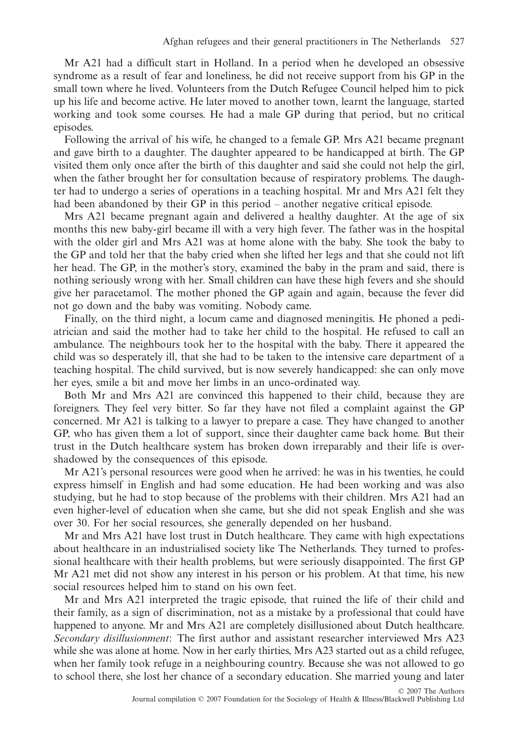Mr A21 had a difficult start in Holland. In a period when he developed an obsessive syndrome as a result of fear and loneliness, he did not receive support from his GP in the small town where he lived. Volunteers from the Dutch Refugee Council helped him to pick up his life and become active. He later moved to another town, learnt the language, started working and took some courses. He had a male GP during that period, but no critical episodes.

Following the arrival of his wife, he changed to a female GP. Mrs A21 became pregnant and gave birth to a daughter. The daughter appeared to be handicapped at birth. The GP visited them only once after the birth of this daughter and said she could not help the girl, when the father brought her for consultation because of respiratory problems. The daughter had to undergo a series of operations in a teaching hospital. Mr and Mrs A21 felt they had been abandoned by their GP in this period – another negative critical episode.

Mrs A21 became pregnant again and delivered a healthy daughter. At the age of six months this new baby-girl became ill with a very high fever. The father was in the hospital with the older girl and Mrs A21 was at home alone with the baby. She took the baby to the GP and told her that the baby cried when she lifted her legs and that she could not lift her head. The GP, in the mother's story, examined the baby in the pram and said, there is nothing seriously wrong with her. Small children can have these high fevers and she should give her paracetamol. The mother phoned the GP again and again, because the fever did not go down and the baby was vomiting. Nobody came.

Finally, on the third night, a locum came and diagnosed meningitis. He phoned a pediatrician and said the mother had to take her child to the hospital. He refused to call an ambulance. The neighbours took her to the hospital with the baby. There it appeared the child was so desperately ill, that she had to be taken to the intensive care department of a teaching hospital. The child survived, but is now severely handicapped: she can only move her eyes, smile a bit and move her limbs in an unco-ordinated way.

Both Mr and Mrs A21 are convinced this happened to their child, because they are foreigners. They feel very bitter. So far they have not filed a complaint against the GP concerned. Mr A21 is talking to a lawyer to prepare a case. They have changed to another GP, who has given them a lot of support, since their daughter came back home. But their trust in the Dutch healthcare system has broken down irreparably and their life is overshadowed by the consequences of this episode.

Mr A21's personal resources were good when he arrived: he was in his twenties, he could express himself in English and had some education. He had been working and was also studying, but he had to stop because of the problems with their children. Mrs A21 had an even higher-level of education when she came, but she did not speak English and she was over 30. For her social resources, she generally depended on her husband.

Mr and Mrs A21 have lost trust in Dutch healthcare. They came with high expectations about healthcare in an industrialised society like The Netherlands. They turned to professional healthcare with their health problems, but were seriously disappointed. The first GP Mr A21 met did not show any interest in his person or his problem. At that time, his new social resources helped him to stand on his own feet.

Mr and Mrs A21 interpreted the tragic episode, that ruined the life of their child and their family, as a sign of discrimination, not as a mistake by a professional that could have happened to anyone. Mr and Mrs A21 are completely disillusioned about Dutch healthcare. *Secondary disillusionment*: The first author and assistant researcher interviewed Mrs A23 while she was alone at home. Now in her early thirties, Mrs A23 started out as a child refugee, when her family took refuge in a neighbouring country. Because she was not allowed to go to school there, she lost her chance of a secondary education. She married young and later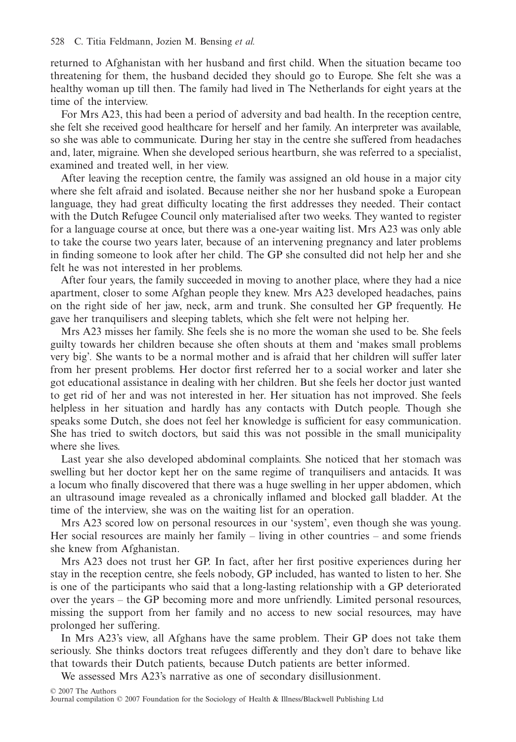returned to Afghanistan with her husband and first child. When the situation became too threatening for them, the husband decided they should go to Europe. She felt she was a healthy woman up till then. The family had lived in The Netherlands for eight years at the time of the interview.

For Mrs A23, this had been a period of adversity and bad health. In the reception centre, she felt she received good healthcare for herself and her family. An interpreter was available, so she was able to communicate. During her stay in the centre she suffered from headaches and, later, migraine. When she developed serious heartburn, she was referred to a specialist, examined and treated well, in her view.

After leaving the reception centre, the family was assigned an old house in a major city where she felt afraid and isolated. Because neither she nor her husband spoke a European language, they had great difficulty locating the first addresses they needed. Their contact with the Dutch Refugee Council only materialised after two weeks. They wanted to register for a language course at once, but there was a one-year waiting list. Mrs A23 was only able to take the course two years later, because of an intervening pregnancy and later problems in finding someone to look after her child. The GP she consulted did not help her and she felt he was not interested in her problems.

After four years, the family succeeded in moving to another place, where they had a nice apartment, closer to some Afghan people they knew. Mrs A23 developed headaches, pains on the right side of her jaw, neck, arm and trunk. She consulted her GP frequently. He gave her tranquilisers and sleeping tablets, which she felt were not helping her.

Mrs A23 misses her family. She feels she is no more the woman she used to be. She feels guilty towards her children because she often shouts at them and 'makes small problems very big'*.* She wants to be a normal mother and is afraid that her children will suffer later from her present problems. Her doctor first referred her to a social worker and later she got educational assistance in dealing with her children. But she feels her doctor just wanted to get rid of her and was not interested in her. Her situation has not improved. She feels helpless in her situation and hardly has any contacts with Dutch people. Though she speaks some Dutch, she does not feel her knowledge is sufficient for easy communication. She has tried to switch doctors, but said this was not possible in the small municipality where she lives.

Last year she also developed abdominal complaints. She noticed that her stomach was swelling but her doctor kept her on the same regime of tranquilisers and antacids. It was a locum who finally discovered that there was a huge swelling in her upper abdomen, which an ultrasound image revealed as a chronically inflamed and blocked gall bladder. At the time of the interview, she was on the waiting list for an operation.

Mrs A23 scored low on personal resources in our 'system', even though she was young. Her social resources are mainly her family – living in other countries – and some friends she knew from Afghanistan.

Mrs A23 does not trust her GP. In fact, after her first positive experiences during her stay in the reception centre, she feels nobody, GP included, has wanted to listen to her. She is one of the participants who said that a long-lasting relationship with a GP deteriorated over the years – the GP becoming more and more unfriendly. Limited personal resources, missing the support from her family and no access to new social resources, may have prolonged her suffering.

In Mrs A23's view, all Afghans have the same problem. Their GP does not take them seriously. She thinks doctors treat refugees differently and they don't dare to behave like that towards their Dutch patients, because Dutch patients are better informed.

We assessed Mrs A23's narrative as one of secondary disillusionment.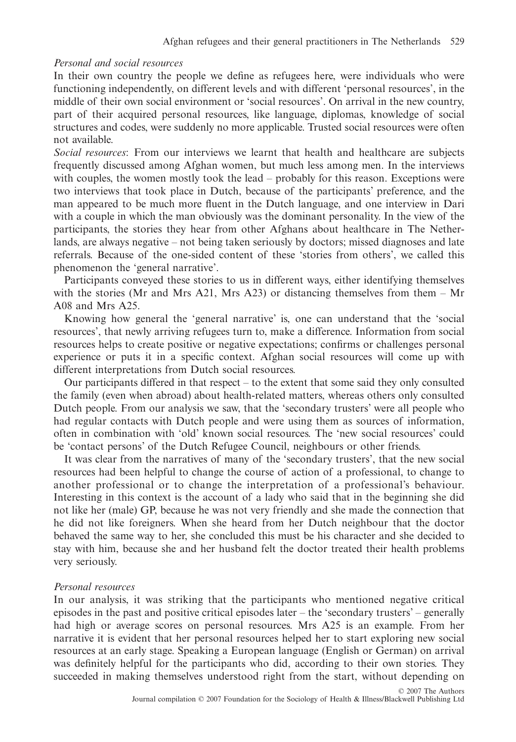# *Personal and social resources*

In their own country the people we define as refugees here, were individuals who were functioning independently, on different levels and with different 'personal resources', in the middle of their own social environment or 'social resources'. On arrival in the new country, part of their acquired personal resources, like language, diplomas, knowledge of social structures and codes, were suddenly no more applicable. Trusted social resources were often not available.

*Social resources*: From our interviews we learnt that health and healthcare are subjects frequently discussed among Afghan women, but much less among men. In the interviews with couples, the women mostly took the lead – probably for this reason. Exceptions were two interviews that took place in Dutch, because of the participants' preference, and the man appeared to be much more fluent in the Dutch language, and one interview in Dari with a couple in which the man obviously was the dominant personality. In the view of the participants, the stories they hear from other Afghans about healthcare in The Netherlands, are always negative – not being taken seriously by doctors; missed diagnoses and late referrals. Because of the one-sided content of these 'stories from others', we called this phenomenon the 'general narrative'.

Participants conveyed these stories to us in different ways, either identifying themselves with the stories (Mr and Mrs A21, Mrs A23) or distancing themselves from them  $-$  Mr A08 and Mrs A25.

Knowing how general the 'general narrative' is, one can understand that the 'social resources', that newly arriving refugees turn to, make a difference. Information from social resources helps to create positive or negative expectations; confirms or challenges personal experience or puts it in a specific context. Afghan social resources will come up with different interpretations from Dutch social resources.

Our participants differed in that respect – to the extent that some said they only consulted the family (even when abroad) about health-related matters, whereas others only consulted Dutch people. From our analysis we saw, that the 'secondary trusters' were all people who had regular contacts with Dutch people and were using them as sources of information, often in combination with 'old' known social resources. The 'new social resources' could be 'contact persons' of the Dutch Refugee Council, neighbours or other friends.

It was clear from the narratives of many of the 'secondary trusters', that the new social resources had been helpful to change the course of action of a professional, to change to another professional or to change the interpretation of a professional's behaviour. Interesting in this context is the account of a lady who said that in the beginning she did not like her (male) GP, because he was not very friendly and she made the connection that he did not like foreigners. When she heard from her Dutch neighbour that the doctor behaved the same way to her, she concluded this must be his character and she decided to stay with him, because she and her husband felt the doctor treated their health problems very seriously.

# *Personal resources*

In our analysis, it was striking that the participants who mentioned negative critical episodes in the past and positive critical episodes later – the 'secondary trusters' – generally had high or average scores on personal resources. Mrs A25 is an example. From her narrative it is evident that her personal resources helped her to start exploring new social resources at an early stage. Speaking a European language (English or German) on arrival was definitely helpful for the participants who did, according to their own stories. They succeeded in making themselves understood right from the start, without depending on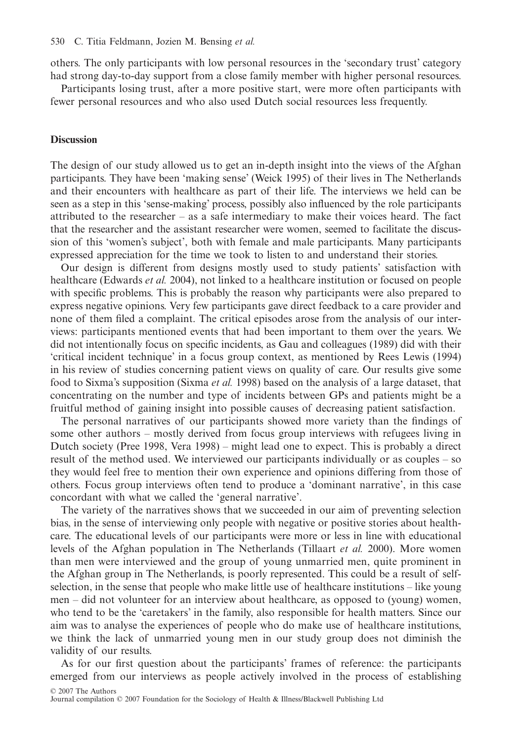others. The only participants with low personal resources in the 'secondary trust' category had strong day-to-day support from a close family member with higher personal resources.

Participants losing trust, after a more positive start, were more often participants with fewer personal resources and who also used Dutch social resources less frequently.

# **Discussion**

The design of our study allowed us to get an in-depth insight into the views of the Afghan participants. They have been 'making sense' (Weick 1995) of their lives in The Netherlands and their encounters with healthcare as part of their life. The interviews we held can be seen as a step in this 'sense-making' process, possibly also influenced by the role participants attributed to the researcher – as a safe intermediary to make their voices heard. The fact that the researcher and the assistant researcher were women, seemed to facilitate the discussion of this 'women's subject', both with female and male participants. Many participants expressed appreciation for the time we took to listen to and understand their stories.

Our design is different from designs mostly used to study patients' satisfaction with healthcare (Edwards *et al.* 2004), not linked to a healthcare institution or focused on people with specific problems. This is probably the reason why participants were also prepared to express negative opinions. Very few participants gave direct feedback to a care provider and none of them filed a complaint. The critical episodes arose from the analysis of our interviews: participants mentioned events that had been important to them over the years. We did not intentionally focus on specific incidents, as Gau and colleagues (1989) did with their 'critical incident technique' in a focus group context, as mentioned by Rees Lewis (1994) in his review of studies concerning patient views on quality of care. Our results give some food to Sixma's supposition (Sixma *et al.* 1998) based on the analysis of a large dataset, that concentrating on the number and type of incidents between GPs and patients might be a fruitful method of gaining insight into possible causes of decreasing patient satisfaction.

The personal narratives of our participants showed more variety than the findings of some other authors – mostly derived from focus group interviews with refugees living in Dutch society (Pree 1998, Vera 1998) – might lead one to expect. This is probably a direct result of the method used. We interviewed our participants individually or as couples – so they would feel free to mention their own experience and opinions differing from those of others. Focus group interviews often tend to produce a 'dominant narrative', in this case concordant with what we called the 'general narrative'.

The variety of the narratives shows that we succeeded in our aim of preventing selection bias, in the sense of interviewing only people with negative or positive stories about healthcare. The educational levels of our participants were more or less in line with educational levels of the Afghan population in The Netherlands (Tillaart *et al.* 2000). More women than men were interviewed and the group of young unmarried men, quite prominent in the Afghan group in The Netherlands, is poorly represented. This could be a result of selfselection, in the sense that people who make little use of healthcare institutions – like young men – did not volunteer for an interview about healthcare, as opposed to (young) women, who tend to be the 'caretakers' in the family, also responsible for health matters. Since our aim was to analyse the experiences of people who do make use of healthcare institutions, we think the lack of unmarried young men in our study group does not diminish the validity of our results.

As for our first question about the participants' frames of reference: the participants emerged from our interviews as people actively involved in the process of establishing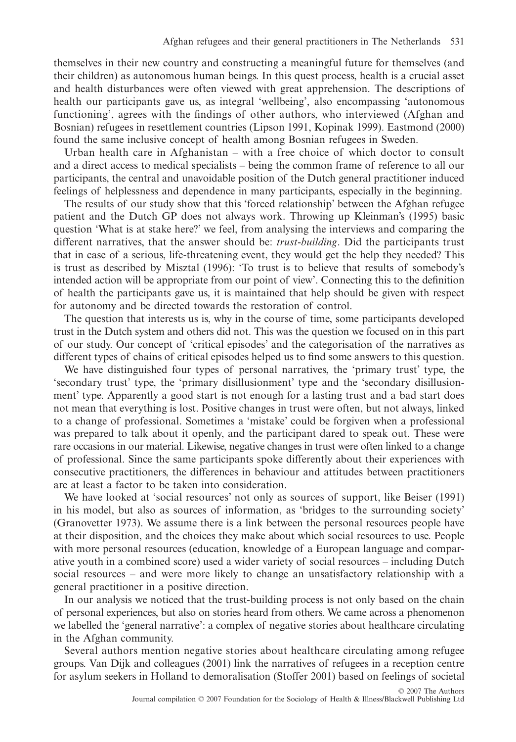themselves in their new country and constructing a meaningful future for themselves (and their children) as autonomous human beings. In this quest process, health is a crucial asset and health disturbances were often viewed with great apprehension. The descriptions of health our participants gave us, as integral 'wellbeing', also encompassing 'autonomous functioning', agrees with the findings of other authors, who interviewed (Afghan and Bosnian) refugees in resettlement countries (Lipson 1991, Kopinak 1999). Eastmond (2000) found the same inclusive concept of health among Bosnian refugees in Sweden.

Urban health care in Afghanistan – with a free choice of which doctor to consult and a direct access to medical specialists – being the common frame of reference to all our participants, the central and unavoidable position of the Dutch general practitioner induced feelings of helplessness and dependence in many participants, especially in the beginning.

The results of our study show that this 'forced relationship' between the Afghan refugee patient and the Dutch GP does not always work. Throwing up Kleinman's (1995) basic question 'What is at stake here?' we feel, from analysing the interviews and comparing the different narratives, that the answer should be: *trust-building*. Did the participants trust that in case of a serious, life-threatening event, they would get the help they needed? This is trust as described by Misztal (1996): 'To trust is to believe that results of somebody's intended action will be appropriate from our point of view'. Connecting this to the definition of health the participants gave us, it is maintained that help should be given with respect for autonomy and be directed towards the restoration of control.

The question that interests us is, why in the course of time, some participants developed trust in the Dutch system and others did not. This was the question we focused on in this part of our study. Our concept of 'critical episodes' and the categorisation of the narratives as different types of chains of critical episodes helped us to find some answers to this question.

We have distinguished four types of personal narratives, the 'primary trust' type, the 'secondary trust' type, the 'primary disillusionment' type and the 'secondary disillusionment' type. Apparently a good start is not enough for a lasting trust and a bad start does not mean that everything is lost. Positive changes in trust were often, but not always, linked to a change of professional. Sometimes a 'mistake' could be forgiven when a professional was prepared to talk about it openly, and the participant dared to speak out. These were rare occasions in our material. Likewise, negative changes in trust were often linked to a change of professional. Since the same participants spoke differently about their experiences with consecutive practitioners, the differences in behaviour and attitudes between practitioners are at least a factor to be taken into consideration.

We have looked at 'social resources' not only as sources of support, like Beiser (1991) in his model, but also as sources of information, as 'bridges to the surrounding society' (Granovetter 1973). We assume there is a link between the personal resources people have at their disposition, and the choices they make about which social resources to use. People with more personal resources (education, knowledge of a European language and comparative youth in a combined score) used a wider variety of social resources – including Dutch social resources – and were more likely to change an unsatisfactory relationship with a general practitioner in a positive direction.

In our analysis we noticed that the trust-building process is not only based on the chain of personal experiences, but also on stories heard from others. We came across a phenomenon we labelled the 'general narrative': a complex of negative stories about healthcare circulating in the Afghan community.

Several authors mention negative stories about healthcare circulating among refugee groups. Van Dijk and colleagues (2001) link the narratives of refugees in a reception centre for asylum seekers in Holland to demoralisation (Stoffer 2001) based on feelings of societal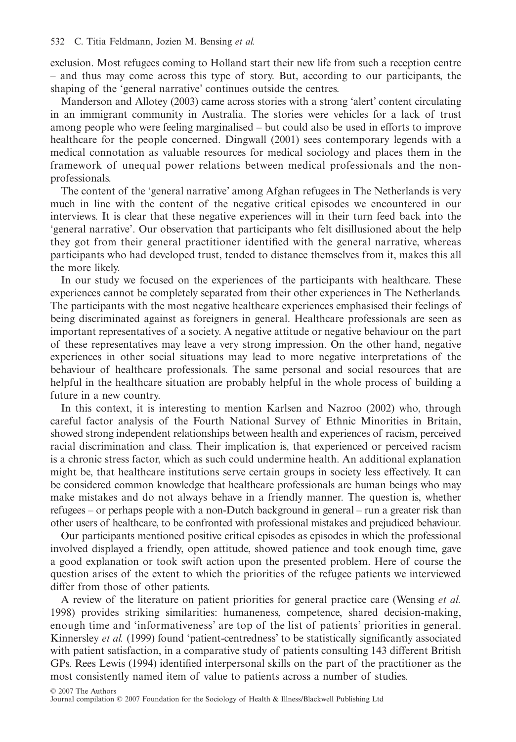exclusion. Most refugees coming to Holland start their new life from such a reception centre – and thus may come across this type of story. But, according to our participants, the shaping of the 'general narrative' continues outside the centres.

Manderson and Allotey (2003) came across stories with a strong 'alert' content circulating in an immigrant community in Australia. The stories were vehicles for a lack of trust among people who were feeling marginalised – but could also be used in efforts to improve healthcare for the people concerned. Dingwall (2001) sees contemporary legends with a medical connotation as valuable resources for medical sociology and places them in the framework of unequal power relations between medical professionals and the nonprofessionals.

The content of the 'general narrative' among Afghan refugees in The Netherlands is very much in line with the content of the negative critical episodes we encountered in our interviews. It is clear that these negative experiences will in their turn feed back into the 'general narrative'. Our observation that participants who felt disillusioned about the help they got from their general practitioner identified with the general narrative, whereas participants who had developed trust, tended to distance themselves from it, makes this all the more likely.

In our study we focused on the experiences of the participants with healthcare. These experiences cannot be completely separated from their other experiences in The Netherlands. The participants with the most negative healthcare experiences emphasised their feelings of being discriminated against as foreigners in general. Healthcare professionals are seen as important representatives of a society. A negative attitude or negative behaviour on the part of these representatives may leave a very strong impression. On the other hand, negative experiences in other social situations may lead to more negative interpretations of the behaviour of healthcare professionals. The same personal and social resources that are helpful in the healthcare situation are probably helpful in the whole process of building a future in a new country.

In this context, it is interesting to mention Karlsen and Nazroo (2002) who, through careful factor analysis of the Fourth National Survey of Ethnic Minorities in Britain, showed strong independent relationships between health and experiences of racism, perceived racial discrimination and class. Their implication is, that experienced or perceived racism is a chronic stress factor, which as such could undermine health. An additional explanation might be, that healthcare institutions serve certain groups in society less effectively. It can be considered common knowledge that healthcare professionals are human beings who may make mistakes and do not always behave in a friendly manner. The question is, whether refugees – or perhaps people with a non-Dutch background in general – run a greater risk than other users of healthcare, to be confronted with professional mistakes and prejudiced behaviour.

Our participants mentioned positive critical episodes as episodes in which the professional involved displayed a friendly, open attitude, showed patience and took enough time, gave a good explanation or took swift action upon the presented problem. Here of course the question arises of the extent to which the priorities of the refugee patients we interviewed differ from those of other patients.

A review of the literature on patient priorities for general practice care (Wensing *et al.* 1998) provides striking similarities: humaneness, competence, shared decision-making, enough time and 'informativeness' are top of the list of patients' priorities in general. Kinnersley *et al.* (1999) found 'patient-centredness' to be statistically significantly associated with patient satisfaction, in a comparative study of patients consulting 143 different British GPs. Rees Lewis (1994) identified interpersonal skills on the part of the practitioner as the most consistently named item of value to patients across a number of studies.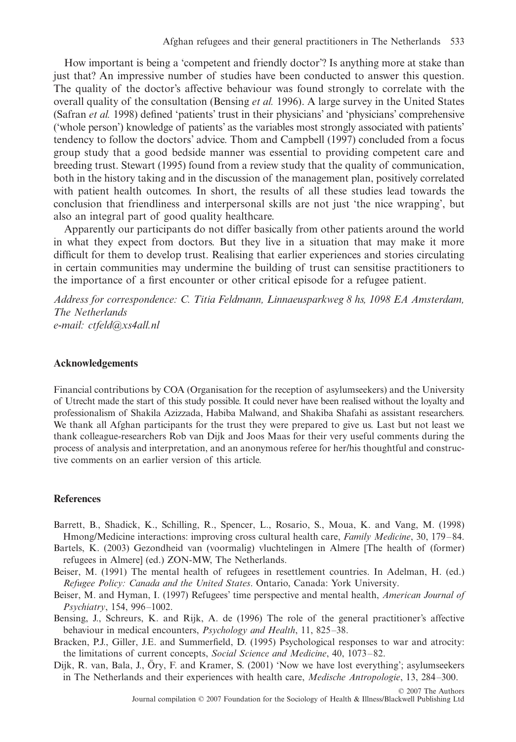How important is being a 'competent and friendly doctor'? Is anything more at stake than just that? An impressive number of studies have been conducted to answer this question. The quality of the doctor's affective behaviour was found strongly to correlate with the overall quality of the consultation (Bensing *et al.* 1996). A large survey in the United States (Safran *et al.* 1998) defined 'patients' trust in their physicians' and 'physicians' comprehensive ('whole person') knowledge of patients' as the variables most strongly associated with patients' tendency to follow the doctors' advice. Thom and Campbell (1997) concluded from a focus group study that a good bedside manner was essential to providing competent care and breeding trust. Stewart (1995) found from a review study that the quality of communication, both in the history taking and in the discussion of the management plan, positively correlated with patient health outcomes. In short, the results of all these studies lead towards the conclusion that friendliness and interpersonal skills are not just 'the nice wrapping', but also an integral part of good quality healthcare.

Apparently our participants do not differ basically from other patients around the world in what they expect from doctors. But they live in a situation that may make it more difficult for them to develop trust. Realising that earlier experiences and stories circulating in certain communities may undermine the building of trust can sensitise practitioners to the importance of a first encounter or other critical episode for a refugee patient.

*Address for correspondence: C. Titia Feldmann, Linnaeusparkweg 8 hs, 1098 EA Amsterdam, The Netherlands e-mail: ctfeld@xs4all.nl*

#### **Acknowledgements**

Financial contributions by COA (Organisation for the reception of asylumseekers) and the University of Utrecht made the start of this study possible. It could never have been realised without the loyalty and professionalism of Shakila Azizzada, Habiba Malwand, and Shakiba Shafahi as assistant researchers. We thank all Afghan participants for the trust they were prepared to give us. Last but not least we thank colleague-researchers Rob van Dijk and Joos Maas for their very useful comments during the process of analysis and interpretation, and an anonymous referee for her/his thoughtful and constructive comments on an earlier version of this article.

#### **References**

- Barrett, B., Shadick, K., Schilling, R., Spencer, L., Rosario, S., Moua, K. and Vang, M. (1998) Hmong/Medicine interactions: improving cross cultural health care, *Family Medicine*, 30, 179–84.
- Bartels, K. (2003) Gezondheid van (voormalig) vluchtelingen in Almere [The health of (former) refugees in Almere] (ed.) ZON-MW, The Netherlands.
- Beiser, M. (1991) The mental health of refugees in resettlement countries. In Adelman, H. (ed.) *Refugee Policy: Canada and the United States*. Ontario, Canada: York University.
- Beiser, M. and Hyman, I. (1997) Refugees' time perspective and mental health, *American Journal of Psychiatry*, 154, 996–1002.
- Bensing, J., Schreurs, K. and Rijk, A. de (1996) The role of the general practitioner's affective behaviour in medical encounters, *Psychology and Health*, 11, 825–38.
- Bracken, P.J., Giller, J.E. and Summerfield, D. (1995) Psychological responses to war and atrocity: the limitations of current concepts, *Social Science and Medicine*, 40, 1073–82.
- Dijk, R. van, Bala, J., Öry, F. and Kramer, S. (2001) 'Now we have lost everything'; asylumseekers in The Netherlands and their experiences with health care, *Medische Antropologie*, 13, 284–300.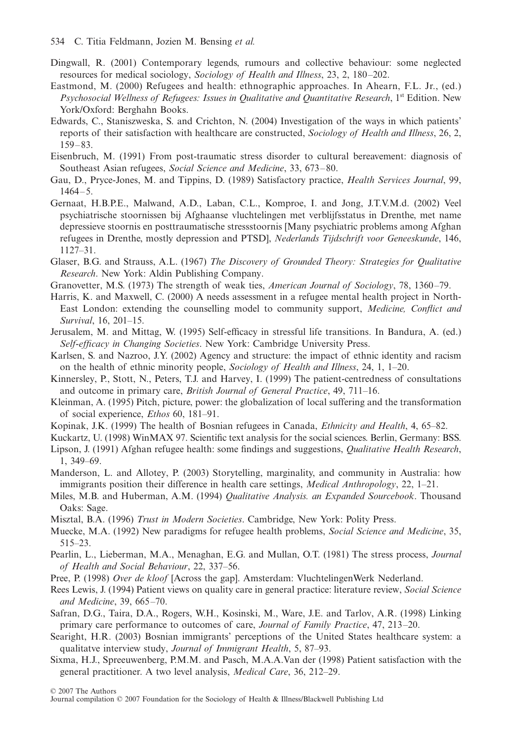- Dingwall, R. (2001) Contemporary legends, rumours and collective behaviour: some neglected resources for medical sociology, *Sociology of Health and Illness*, 23, 2, 180–202.
- Eastmond, M. (2000) Refugees and health: ethnographic approaches. In Ahearn, F.L. Jr., (ed.) *Psychosocial Wellness of Refugees: Issues in Qualitative and Quantitative Research*, 1<sup>st</sup> Edition. New York/Oxford: Berghahn Books.
- Edwards, C., Staniszweska, S. and Crichton, N. (2004) Investigation of the ways in which patients' reports of their satisfaction with healthcare are constructed, *Sociology of Health and Illness*, 26, 2, 159–83.
- Eisenbruch, M. (1991) From post-traumatic stress disorder to cultural bereavement: diagnosis of Southeast Asian refugees, *Social Science and Medicine*, 33, 673–80.
- Gau, D., Pryce-Jones, M. and Tippins, D. (1989) Satisfactory practice, *Health Services Journal*, 99,  $1464 - 5$ .
- Gernaat, H.B.P.E., Malwand, A.D., Laban, C.L., Komproe, I. and Jong, J.T.V.M.d. (2002) Veel psychiatrische stoornissen bij Afghaanse vluchtelingen met verblijfsstatus in Drenthe, met name depressieve stoornis en posttraumatische stressstoornis [Many psychiatric problems among Afghan refugees in Drenthe, mostly depression and PTSD], *Nederlands Tijdschrift voor Geneeskunde*, 146, 1127–31.
- Glaser, B.G. and Strauss, A.L. (1967) *The Discovery of Grounded Theory: Strategies for Qualitative Research*. New York: Aldin Publishing Company.
- Granovetter, M.S. (1973) The strength of weak ties, *American Journal of Sociology*, 78, 1360–79.
- Harris, K. and Maxwell, C. (2000) A needs assessment in a refugee mental health project in North-East London: extending the counselling model to community support, *Medicine, Conflict and Survival*, 16, 201–15.
- Jerusalem, M. and Mittag, W. (1995) Self-efficacy in stressful life transitions. In Bandura, A. (ed.) *Self-efficacy in Changing Societies*. New York: Cambridge University Press.
- Karlsen, S. and Nazroo, J.Y. (2002) Agency and structure: the impact of ethnic identity and racism on the health of ethnic minority people, *Sociology of Health and Illness*, 24, 1, 1–20.
- Kinnersley, P., Stott, N., Peters, T.J. and Harvey, I. (1999) The patient-centredness of consultations and outcome in primary care, *British Journal of General Practice*, 49, 711–16.
- Kleinman, A. (1995) Pitch, picture, power: the globalization of local suffering and the transformation of social experience, *Ethos* 60, 181–91.
- Kopinak, J.K. (1999) The health of Bosnian refugees in Canada, *Ethnicity and Health*, 4, 65–82.
- Kuckartz, U. (1998) WinMAX 97. Scientific text analysis for the social sciences. Berlin, Germany: BSS.
- Lipson, J. (1991) Afghan refugee health: some findings and suggestions, *Qualitative Health Research*, 1, 349–69.
- Manderson, L. and Allotey, P. (2003) Storytelling, marginality, and community in Australia: how immigrants position their difference in health care settings, *Medical Anthropology*, 22, 1–21.
- Miles, M.B. and Huberman, A.M. (1994) *Qualitative Analysis. an Expanded Sourcebook*. Thousand Oaks: Sage.
- Misztal, B.A. (1996) *Trust in Modern Societies*. Cambridge, New York: Polity Press.
- Muecke, M.A. (1992) New paradigms for refugee health problems, *Social Science and Medicine*, 35, 515–23.
- Pearlin, L., Lieberman, M.A., Menaghan, E.G. and Mullan, O.T. (1981) The stress process, *Journal of Health and Social Behaviour*, 22, 337–56.
- Pree, P. (1998) *Over de kloof* [Across the gap]. Amsterdam: VluchtelingenWerk Nederland.
- Rees Lewis, J. (1994) Patient views on quality care in general practice: literature review, *Social Science and Medicine*, 39, 665–70.
- Safran, D.G., Taira, D.A., Rogers, W.H., Kosinski, M., Ware, J.E. and Tarlov, A.R. (1998) Linking primary care performance to outcomes of care, *Journal of Family Practice*, 47, 213–20.
- Searight, H.R. (2003) Bosnian immigrants' perceptions of the United States healthcare system: a qualitatve interview study, *Journal of Immigrant Health*, 5, 87–93.
- Sixma, H.J., Spreeuwenberg, P.M.M. and Pasch, M.A.A.Van der (1998) Patient satisfaction with the general practitioner. A two level analysis, *Medical Care*, 36, 212–29.

© 2007 The Authors

Journal compilation © 2007 Foundation for the Sociology of Health & Illness/Blackwell Publishing Ltd